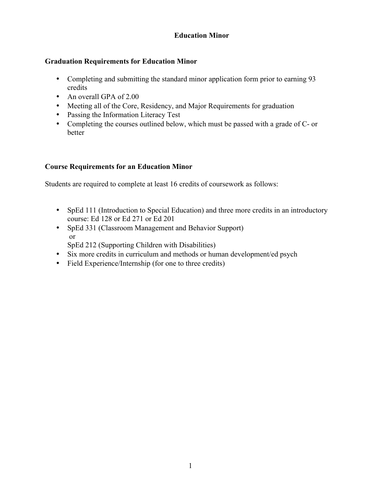# **Education Minor**

## **Graduation Requirements for Education Minor**

- Completing and submitting the standard minor application form prior to earning 93 credits
- An overall GPA of 2.00
- Meeting all of the Core, Residency, and Major Requirements for graduation
- Passing the Information Literacy Test
- Completing the courses outlined below, which must be passed with a grade of C- or better

### **Course Requirements for an Education Minor**

Students are required to complete at least 16 credits of coursework as follows:

- SpEd 111 (Introduction to Special Education) and three more credits in an introductory course: Ed 128 or Ed 271 or Ed 201
- SpEd 331 (Classroom Management and Behavior Support) or

SpEd 212 (Supporting Children with Disabilities)

- Six more credits in curriculum and methods or human development/ed psych
- Field Experience/Internship (for one to three credits)